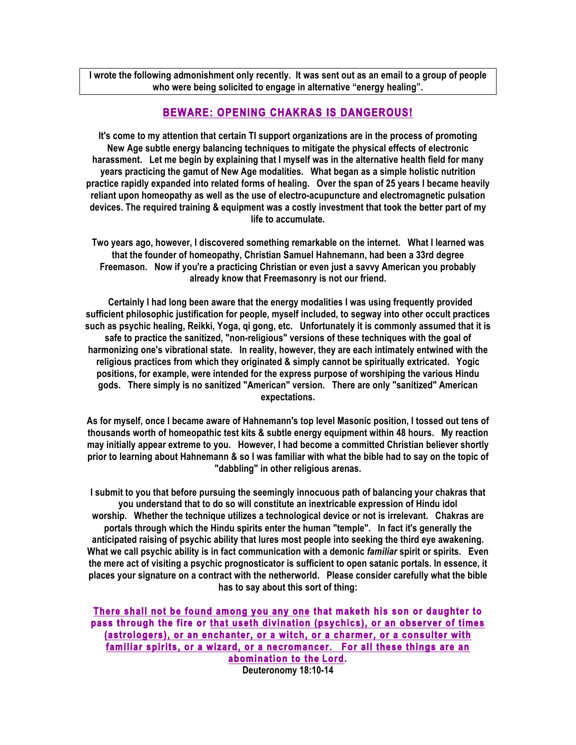**I wrote the following admonishment only recently. It was sent out as an email to a group of people who were being solicited to engage in alternative "energy healing".** 

## **BEWARE: OPENING CHAKRAS IS DANGEROUS!**

**It's come to my attention that certain TI support organizations are in the process of promoting New Age subtle energy balancing techniques to mitigate the physical effects of electronic harassment. Let me begin by explaining that I myself was in the alternative health field for many years practicing the gamut of New Age modalities. What began as a simple holistic nutrition practice rapidly expanded into related forms of healing. Over the span of 25 years I became heavily reliant upon homeopathy as well as the use of electro-acupuncture and electromagnetic pulsation devices. The required training & equipment was a costly investment that took the better part of my life to accumulate.**

**Two years ago, however, I discovered something remarkable on the internet. What I learned was that the founder of homeopathy, Christian Samuel Hahnemann, had been a 33rd degree Freemason. Now if you're a practicing Christian or even just a savvy American you probably already know that Freemasonry is not our friend.** 

**Certainly I had long been aware that the energy modalities I was using frequently provided sufficient philosophic justification for people, myself included, to segway into other occult practices such as psychic healing, Reikki, Yoga, qi gong, etc. Unfortunately it is commonly assumed that it is safe to practice the sanitized, "non-religious" versions of these techniques with the goal of harmonizing one's vibrational state. In reality, however, they are each intimately entwined with the religious practices from which they originated & simply cannot be spiritually extricated. Yogic positions, for example, were intended for the express purpose of worshiping the various Hindu gods. There simply is no sanitized "American" version. There are only "sanitized" American expectations.**

**As for myself, once I became aware of Hahnemann's top level Masonic position, I tossed out tens of thousands worth of homeopathic test kits & subtle energy equipment within 48 hours. My reaction may initially appear extreme to you. However, I had become a committed Christian believer shortly prior to learning about Hahnemann & so I was familiar with what the bible had to say on the topic of "dabbling" in other religious arenas.** 

**I submit to you that before pursuing the seemingly innocuous path of balancing your chakras that you understand that to do so will constitute an inextricable expression of Hindu idol worship. Whether the technique utilizes a technological device or not is irrelevant. Chakras are portals through which the Hindu spirits enter the human "temple". In fact it's generally the anticipated raising of psychic ability that lures most people into seeking the third eye awakening. What we call psychic ability is in fact communication with a demonic** *familiar* **spirit or spirits. Even the mere act of visiting a psychic prognosticator is sufficient to open satanic portals. In essence, it places your signature on a contract with the netherworld. Please consider carefully what the bible has to say about this sort of thing:**

**There shall not be found among you any one that maketh his son or daughter to pass through the fire or that useth divination (psychics), or an observer of times (astrologers), or an enchanter, or a witch, or a charmer, or a consulter with familiar spirits, or a wizard, or a necromancer. For all these things are an abomination to the Lord. Deuteronomy 18:10-14**